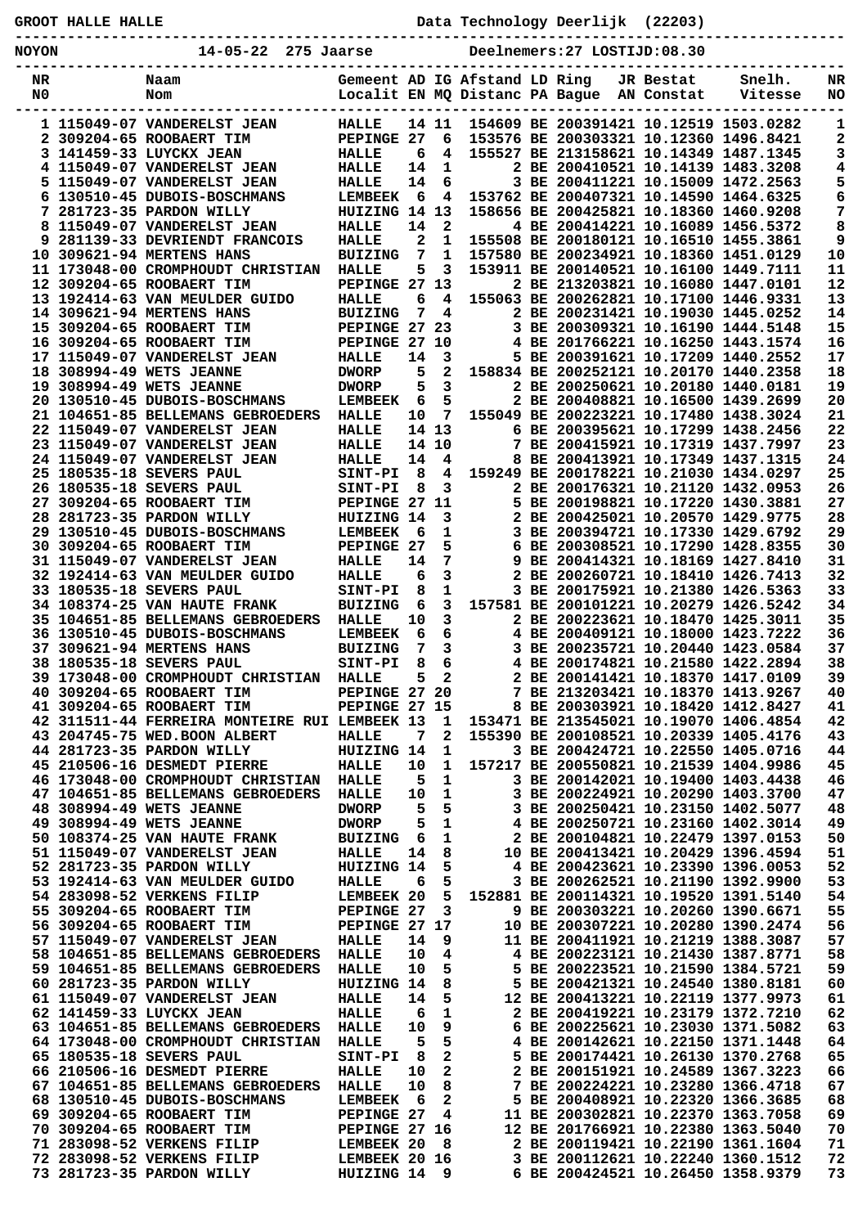| <b>GROOT HALLE HALLE</b> |                                                                        |                                  |                   |                  |                               | Data Technology Deerlijk (22203)          |           |                                                                                    |          |
|--------------------------|------------------------------------------------------------------------|----------------------------------|-------------------|------------------|-------------------------------|-------------------------------------------|-----------|------------------------------------------------------------------------------------|----------|
| <b>NOYON</b>             | 14-05-22 275 Jaarse                                                    |                                  |                   |                  |                               | Deelnemers: 27 LOSTIJD: 08.30             |           |                                                                                    |          |
| NR<br>N0                 | Naam<br>Nom                                                            |                                  |                   |                  | Gemeent AD IG Afstand LD Ring | Localit EN MQ Distanc PA Bague AN Constat | JR Bestat | Snelh.<br>Vitesse                                                                  | NR<br>NO |
|                          | 1 115049-07 VANDERELST JEAN                                            | <b>HALLE</b>                     |                   | 14 11            |                               |                                           |           | 154609 BE 200391421 10.12519 1503.0282                                             | 1        |
|                          | 2 309204-65 ROOBAERT TIM<br>3 141459-33 LUYCKX JEAN                    | PEPINGE 27<br><b>HALLE</b>       | 6                 | 6                |                               |                                           |           | 153576 BE 200303321 10.12360 1496.8421<br>4 155527 BE 213158621 10.14349 1487.1345 | 2<br>3   |
|                          | 4 115049-07 VANDERELST JEAN                                            | <b>HALLE</b>                     | 14                | $\mathbf{1}$     |                               |                                           |           | 2 BE 200410521 10.14139 1483.3208                                                  | 4        |
|                          | 5 115049-07 VANDERELST JEAN                                            | <b>HALLE</b>                     | 14                | 6                |                               |                                           |           | 3 BE 200411221 10.15009 1472.2563                                                  | 5        |
|                          | 6 130510-45 DUBOIS-BOSCHMANS                                           | <b>LEMBEEK</b>                   | - 6               | 4                |                               |                                           |           | 153762 BE 200407321 10.14590 1464.6325                                             | 6        |
|                          | 7 281723-35 PARDON WILLY                                               | HUIZING 14 13                    |                   |                  |                               |                                           |           | 158656 BE 200425821 10.18360 1460.9208                                             | 7        |
|                          | 8 115049-07 VANDERELST JEAN                                            | HALLE                            | 14                | $\mathbf{2}$     |                               |                                           |           | 4 BE 200414221 10.16089 1456.5372                                                  | 8        |
|                          | 9 281139-33 DEVRIENDT FRANCOIS<br>10 309621-94 MERTENS HANS            | HALLE<br><b>BUIZING</b>          | $\mathbf{2}$<br>7 | 1<br>1           |                               |                                           |           | 155508 BE 200180121 10.16510 1455.3861<br>157580 BE 200234921 10.18360 1451.0129   | 9<br>10  |
|                          | 11 173048-00 CROMPHOUDT CHRISTIAN                                      | <b>HALLE</b>                     | 5                 | 3                |                               |                                           |           | 153911 BE 200140521 10.16100 1449.7111                                             | 11       |
|                          | 12 309204-65 ROOBAERT TIM                                              | PEPINGE 27 13                    |                   |                  |                               |                                           |           | 2 BE 213203821 10.16080 1447.0101                                                  | 12       |
|                          | 13 192414-63 VAN MEULDER GUIDO                                         | HALLE                            | 6                 | $\overline{4}$   |                               |                                           |           | 155063 BE 200262821 10.17100 1446.9331                                             | 13       |
|                          | 14 309621-94 MERTENS HANS                                              | <b>BUIZING</b>                   |                   | 4<br>7           |                               |                                           |           | 2 BE 200231421 10.19030 1445.0252                                                  | 14       |
|                          | 15 309204-65 ROOBAERT TIM                                              | PEPINGE 27 23                    |                   |                  |                               |                                           |           | 3 BE 200309321 10.16190 1444.5148                                                  | 15       |
|                          | 16 309204-65 ROOBAERT TIM<br>17 115049-07 VANDERELST JEAN              | PEPINGE 27 10<br><b>HALLE</b>    | 14                | 3                |                               |                                           |           | 4 BE 201766221 10.16250 1443.1574<br>5 BE 200391621 10.17209 1440.2552             | 16<br>17 |
|                          | 18 308994-49 WETS JEANNE                                               | <b>DWORP</b>                     | 5                 | $\overline{a}$   |                               |                                           |           | 158834 BE 200252121 10.20170 1440.2358                                             | 18       |
|                          | 19 308994-49 WETS JEANNE                                               | <b>DWORP</b>                     | 5                 | $\mathbf{3}$     |                               |                                           |           | 2 BE 200250621 10.20180 1440.0181                                                  | 19       |
|                          | 20 130510-45 DUBOIS-BOSCHMANS                                          | LEMBEEK 6                        |                   | 5                |                               |                                           |           | 2 BE 200408821 10.16500 1439.2699                                                  | 20       |
|                          | 21 104651-85 BELLEMANS GEBROEDERS                                      | <b>HALLE</b>                     | 10                | 7                |                               |                                           |           | 155049 BE 200223221 10.17480 1438.3024                                             | 21       |
|                          | 22 115049-07 VANDERELST JEAN                                           | HALLE                            |                   | 14 13            |                               |                                           |           | 6 BE 200395621 10.17299 1438.2456                                                  | 22       |
|                          | 23 115049-07 VANDERELST JEAN                                           | <b>HALLE</b>                     |                   | 14 10            |                               |                                           |           | 7 BE 200415921 10.17319 1437.7997                                                  | 23       |
|                          | 24 115049-07 VANDERELST JEAN<br>25 180535-18 SEVERS PAUL               | <b>HALLE</b><br><b>SINT-PI</b>   | 14<br>8           | 4<br>4           |                               |                                           |           | 8 BE 200413921 10.17349 1437.1315<br>159249 BE 200178221 10.21030 1434.0297        | 24<br>25 |
|                          | 26 180535-18 SEVERS PAUL                                               | <b>SINT-PI</b>                   | 8                 | $\mathbf{3}$     |                               |                                           |           | 2 BE 200176321 10.21120 1432.0953                                                  | 26       |
|                          | 27 309204-65 ROOBAERT TIM                                              | PEPINGE 27 11                    |                   |                  |                               |                                           |           | 5 BE 200198821 10.17220 1430.3881                                                  | 27       |
|                          | 28 281723-35 PARDON WILLY                                              | HUIZING 14                       |                   | 3                |                               |                                           |           | 2 BE 200425021 10.20570 1429.9775                                                  | 28       |
|                          | 29 130510-45 DUBOIS-BOSCHMANS                                          | <b>LEMBEEK</b>                   | -6                | 1                |                               |                                           |           | 3 BE 200394721 10.17330 1429.6792                                                  | 29       |
|                          | 30 309204-65 ROOBAERT TIM                                              | PEPINGE 27                       |                   | 5                |                               |                                           |           | 6 BE 200308521 10.17290 1428.8355                                                  | 30       |
|                          | 31 115049-07 VANDERELST JEAN                                           | HALLE                            | 14                | 7                |                               |                                           |           | 9 BE 200414321 10.18169 1427.8410                                                  | 31       |
|                          | 32 192414-63 VAN MEULDER GUIDO                                         | <b>HALLE</b>                     | 6                 | 3                |                               |                                           |           | 2 BE 200260721 10.18410 1426.7413                                                  | 32       |
|                          | 33 180535-18 SEVERS PAUL<br>34 108374-25 VAN HAUTE FRANK               | <b>SINT-PI</b><br><b>BUIZING</b> | 8<br>6            | $\mathbf 1$<br>3 |                               |                                           |           | 3 BE 200175921 10.21380 1426.5363<br>157581 BE 200101221 10.20279 1426.5242        | 33<br>34 |
|                          | 35 104651-85 BELLEMANS GEBROEDERS                                      | <b>HALLE</b>                     | 10                | 3                |                               |                                           |           | 2 BE 200223621 10.18470 1425.3011                                                  | 35       |
|                          | 36 130510-45 DUBOIS-BOSCHMANS                                          | <b>LEMBEEK</b>                   | 6                 | 6                |                               |                                           |           | 4 BE 200409121 10.18000 1423.7222                                                  | 36       |
|                          | 37 309621-94 MERTENS HANS                                              | <b>BUIZING</b>                   | 7                 | 3                |                               |                                           |           | 3 BE 200235721 10.20440 1423.0584                                                  | 37       |
|                          | <b>38 180535-18 SEVERS PAUL</b>                                        | SINT-PI                          | 8                 | 6                |                               |                                           |           | 4 BE 200174821 10.21580 1422.2894                                                  | 38       |
|                          | 39 173048-00 CROMPHOUDT CHRISTIAN                                      | <b>HALLE</b>                     | 5                 | 2                |                               |                                           |           | 2 BE 200141421 10.18370 1417.0109                                                  | 39       |
|                          | 40 309204-65 ROOBAERT TIM<br>41 309204-65 ROOBAERT TIM                 | PEPINGE 27 20<br>PEPINGE 27 15   |                   |                  |                               |                                           |           | 7 BE 213203421 10.18370 1413.9267<br>8 BE 200303921 10.18420 1412.8427             | 40<br>41 |
|                          | 42 311511-44 FERREIRA MONTEIRE RUI LEMBEEK 13                          |                                  |                   | 1                |                               |                                           |           | 153471 BE 213545021 10.19070 1406.4854                                             | 42       |
|                          | 43 204745-75 WED. BOON ALBERT                                          | <b>HALLE</b>                     | 7                 | 2                |                               |                                           |           | 155390 BE 200108521 10.20339 1405.4176                                             | 43       |
|                          | 44 281723-35 PARDON WILLY                                              | HUIZING 14                       |                   | 1                |                               |                                           |           | 3 BE 200424721 10.22550 1405.0716                                                  | 44       |
|                          | 45 210506-16 DESMEDT PIERRE                                            | HALLE                            | 10                | 1                |                               |                                           |           | 157217 BE 200550821 10.21539 1404.9986                                             | 45       |
|                          | 46 173048-00 CROMPHOUDT CHRISTIAN                                      | HALLE                            | 5                 | 1                |                               |                                           |           | 3 BE 200142021 10.19400 1403.4438                                                  | 46       |
|                          | 47 104651-85 BELLEMANS GEBROEDERS                                      | HALLE                            | 10<br>5           | 1                |                               |                                           |           | 3 BE 200224921 10.20290 1403.3700<br>3 BE 200250421 10.23150 1402.5077             | 47<br>48 |
|                          | 48 308994-49 WETS JEANNE<br>49 308994-49 WETS JEANNE                   | <b>DWORP</b><br><b>DWORP</b>     | 5                 | 5<br>1           |                               |                                           |           | 4 BE 200250721 10.23160 1402.3014                                                  | 49       |
|                          | 50 108374-25 VAN HAUTE FRANK                                           | <b>BUIZING</b>                   | 6                 | 1                |                               |                                           |           | 2 BE 200104821 10.22479 1397.0153                                                  | 50       |
|                          | 51 115049-07 VANDERELST JEAN                                           | <b>HALLE</b>                     | 14                | 8                |                               |                                           |           | 10 BE 200413421 10.20429 1396.4594                                                 | 51       |
|                          | 52 281723-35 PARDON WILLY                                              | HUIZING 14                       |                   | 5                |                               |                                           |           | 4 BE 200423621 10.23390 1396.0053                                                  | 52       |
|                          | 53 192414-63 VAN MEULDER GUIDO                                         | HALLE                            | 6                 | 5                |                               |                                           |           | 3 BE 200262521 10.21190 1392.9900                                                  | 53       |
|                          | <b>54 283098-52 VERKENS FILIP</b>                                      | LEMBEEK 20                       |                   | 5                |                               |                                           |           | 152881 BE 200114321 10.19520 1391.5140                                             | 54       |
|                          | 55 309204-65 ROOBAERT TIM<br>56 309204-65 ROOBAERT TIM                 | PEPINGE 27<br>PEPINGE 27 17      |                   | 3                |                               |                                           |           | 9 BE 200303221 10.20260 1390.6671<br>10 BE 200307221 10.20280 1390.2474            | 55<br>56 |
|                          | 57 115049-07 VANDERELST JEAN                                           | <b>HALLE</b>                     | 14                | 9                |                               |                                           |           | 11 BE 200411921 10.21219 1388.3087                                                 | 57       |
|                          | 58 104651-85 BELLEMANS GEBROEDERS                                      | HALLE                            | 10                | 4                |                               |                                           |           | 4 BE 200223121 10.21430 1387.8771                                                  | 58       |
|                          | 59 104651-85 BELLEMANS GEBROEDERS                                      | HALLE                            | 10                | 5                |                               |                                           |           | 5 BE 200223521 10.21590 1384.5721                                                  | 59       |
|                          | 60 281723-35 PARDON WILLY                                              | HUIZING 14                       |                   | 8                |                               |                                           |           | 5 BE 200421321 10.24540 1380.8181                                                  | 60       |
|                          | 61 115049-07 VANDERELST JEAN                                           | <b>HALLE</b>                     | 14                | 5                |                               |                                           |           | 12 BE 200413221 10.22119 1377.9973                                                 | 61       |
|                          | 62 141459-33 LUYCKX JEAN                                               | HALLE                            | 6                 | 1                |                               |                                           |           | 2 BE 200419221 10.23179 1372.7210                                                  | 62       |
|                          | 63 104651-85 BELLEMANS GEBROEDERS<br>64 173048-00 CROMPHOUDT CHRISTIAN | <b>HALLE</b><br><b>HALLE</b>     | 10<br>5           | 9<br>5           | 6                             |                                           |           | BE 200225621 10.23030 1371.5082<br>4 BE 200142621 10.22150 1371.1448               | 63<br>64 |
|                          | 65 180535-18 SEVERS PAUL                                               | <b>SINT-PI</b>                   | 8                 | 2                |                               |                                           |           | 5 BE 200174421 10.26130 1370.2768                                                  | 65       |
|                          | 66 210506-16 DESMEDT PIERRE                                            | <b>HALLE</b>                     | 10                | 2                |                               |                                           |           | 2 BE 200151921 10.24589 1367.3223                                                  | 66       |
|                          | 67 104651-85 BELLEMANS GEBROEDERS                                      | HALLE                            | 10                | 8                |                               |                                           |           | 7 BE 200224221 10.23280 1366.4718                                                  | 67       |
|                          | 68 130510-45 DUBOIS-BOSCHMANS                                          | <b>LEMBEEK</b>                   | - 6               | 2                |                               |                                           |           | 5 BE 200408921 10.22320 1366.3685                                                  | 68       |
|                          | 69 309204-65 ROOBAERT TIM                                              | PEPINGE 27                       |                   | 4                |                               |                                           |           | 11 BE 200302821 10.22370 1363.7058                                                 | 69       |
|                          | 70 309204-65 ROOBAERT TIM                                              | PEPINGE 27 16                    |                   |                  |                               |                                           |           | 12 BE 201766921 10.22380 1363.5040                                                 | 70       |
|                          | 71 283098-52 VERKENS FILIP<br>72 283098-52 VERKENS FILIP               | LEMBEEK 20<br>LEMBEEK 20 16      |                   | 8                |                               |                                           |           | 2 BE 200119421 10.22190 1361.1604<br>3 BE 200112621 10.22240 1360.1512             | 71<br>72 |
|                          |                                                                        |                                  |                   |                  |                               |                                           |           |                                                                                    |          |

 **73 281723-35 PARDON WILLY HUIZING 14 9 6 BE 200424521 10.26450 1358.9379 73**